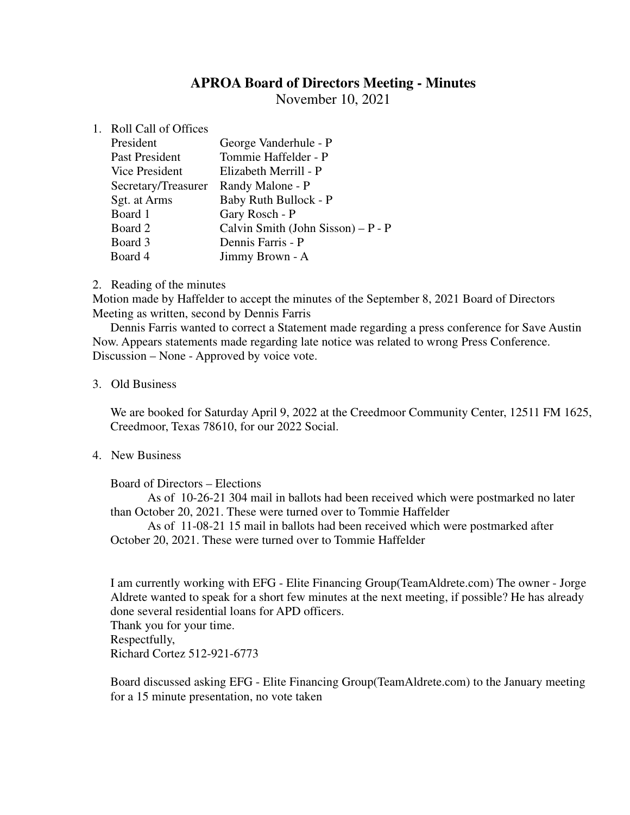# **APROA Board of Directors Meeting - Minutes**

November 10, 2021

### 1. Roll Call of Offices

| President           | George Vanderhule - P              |
|---------------------|------------------------------------|
| Past President      | Tommie Haffelder - P               |
| Vice President      | Elizabeth Merrill - P              |
| Secretary/Treasurer | Randy Malone - P                   |
| Sgt. at Arms        | Baby Ruth Bullock - P              |
| Board 1             | Gary Rosch - P                     |
| Board 2             | Calvin Smith (John Sisson) – P - P |
| Board 3             | Dennis Farris - P                  |
| Board 4             | Jimmy Brown - A                    |

### 2. Reading of the minutes

Motion made by Haffelder to accept the minutes of the September 8, 2021 Board of Directors Meeting as written, second by Dennis Farris

Dennis Farris wanted to correct a Statement made regarding a press conference for Save Austin Now. Appears statements made regarding late notice was related to wrong Press Conference. Discussion – None - Approved by voice vote.

#### 3. Old Business

We are booked for Saturday April 9, 2022 at the Creedmoor Community Center, 12511 FM 1625, Creedmoor, Texas 78610, for our 2022 Social.

## 4. New Business

Board of Directors – Elections

As of 10-26-21 304 mail in ballots had been received which were postmarked no later than October 20, 2021. These were turned over to Tommie Haffelder

As of 11-08-21 15 mail in ballots had been received which were postmarked after October 20, 2021. These were turned over to Tommie Haffelder

I am currently working with EFG - Elite Financing Group(TeamAldrete.com) The owner - Jorge Aldrete wanted to speak for a short few minutes at the next meeting, if possible? He has already done several residential loans for APD officers.

Thank you for your time. Respectfully,

Richard Cortez 512-921-6773

Board discussed asking EFG - Elite Financing Group(TeamAldrete.com) to the January meeting for a 15 minute presentation, no vote taken